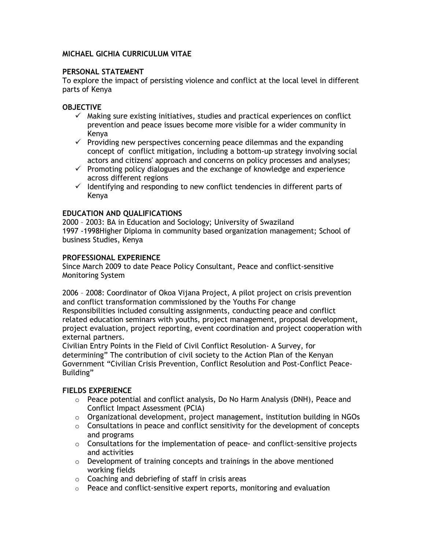# MICHAEL GICHIA CURRICULUM VITAE

# PERSONAL STATEMENT

To explore the impact of persisting violence and conflict at the local level in different parts of Kenya

# **OBJECTIVE**

- $\checkmark$  Making sure existing initiatives, studies and practical experiences on conflict prevention and peace issues become more visible for a wider community in Kenya
- $\checkmark$  Providing new perspectives concerning peace dilemmas and the expanding concept of conflict mitigation, including a bottom-up strategy involving social actors and citizens' approach and concerns on policy processes and analyses;
- $\checkmark$  Promoting policy dialogues and the exchange of knowledge and experience across different regions
- $\checkmark$  Identifving and responding to new conflict tendencies in different parts of Kenya

# EDUCATION AND QUALIFICATIONS

2000 – 2003: BA in Education and Sociology; University of Swaziland 1997 -1998Higher Diploma in community based organization management; School of business Studies, Kenya

# PROFESSIONAL EXPERIENCE

Since March 2009 to date Peace Policy Consultant, Peace and conflict-sensitive Monitoring System

2006 – 2008: Coordinator of Okoa Vijana Project, A pilot project on crisis prevention and conflict transformation commissioned by the Youths For change Responsibilities included consulting assignments, conducting peace and conflict related education seminars with youths, project management, proposal development, project evaluation, project reporting, event coordination and project cooperation with external partners.

Civilian Entry Points in the Field of Civil Conflict Resolution- A Survey, for determining" The contribution of civil society to the Action Plan of the Kenyan Government "Civilian Crisis Prevention, Conflict Resolution and Post-Conflict Peace-Building"

# FIELDS EXPERIENCE

- $\circ$  Peace potential and conflict analysis, Do No Harm Analysis (DNH), Peace and Conflict Impact Assessment (PCIA)
- o Organizational development, project management, institution building in NGOs
- $\circ$  Consultations in peace and conflict sensitivity for the development of concepts and programs
- $\circ$  Consultations for the implementation of peace- and conflict-sensitive projects and activities
- $\circ$  Development of training concepts and trainings in the above mentioned working fields
- $\circ$  Coaching and debriefing of staff in crisis areas
- $\circ$  Peace and conflict-sensitive expert reports, monitoring and evaluation